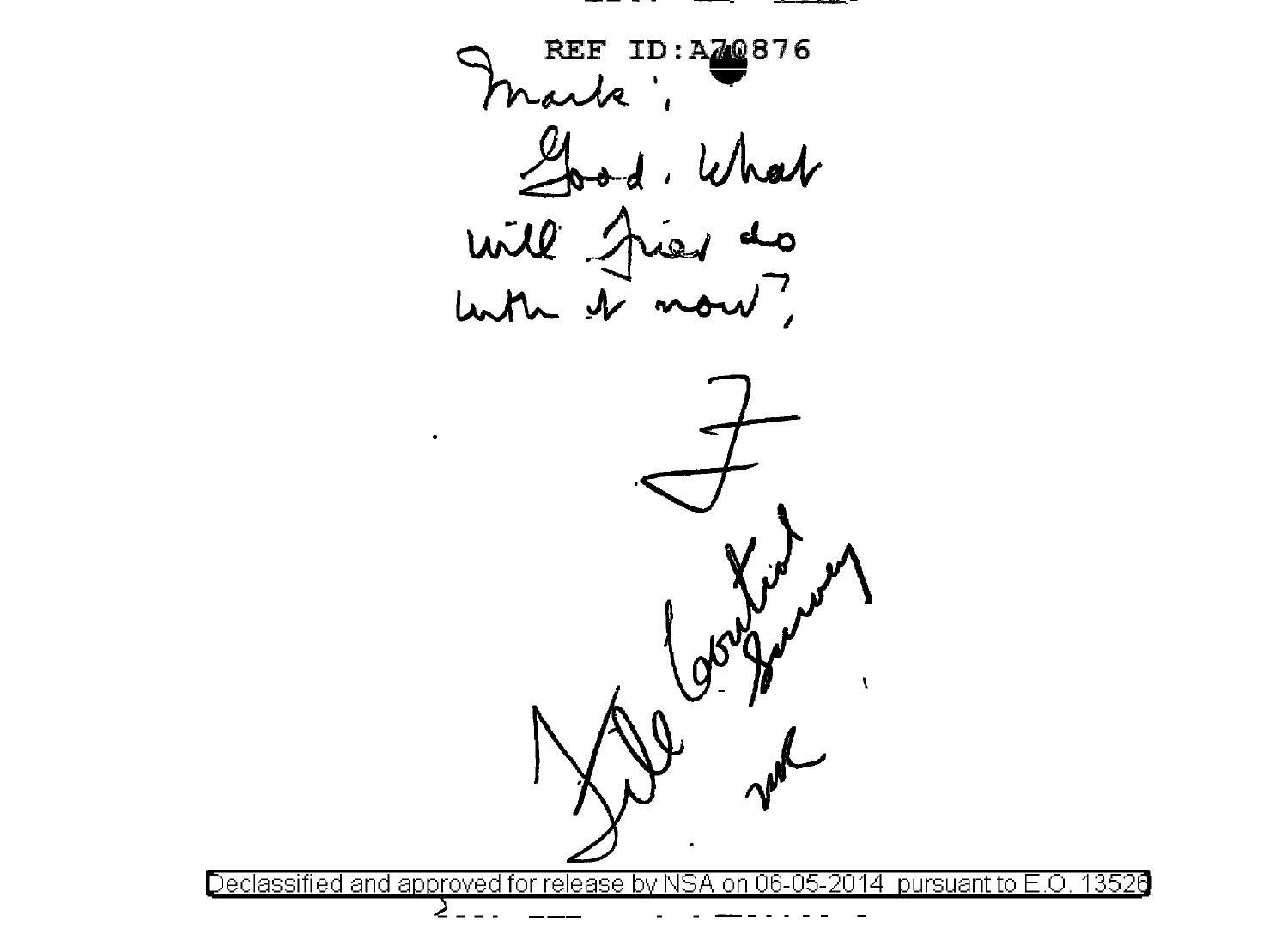REF ID: A20876 Chard, What<br>will fried do<br>when it now ?



 $\geq$ 

13526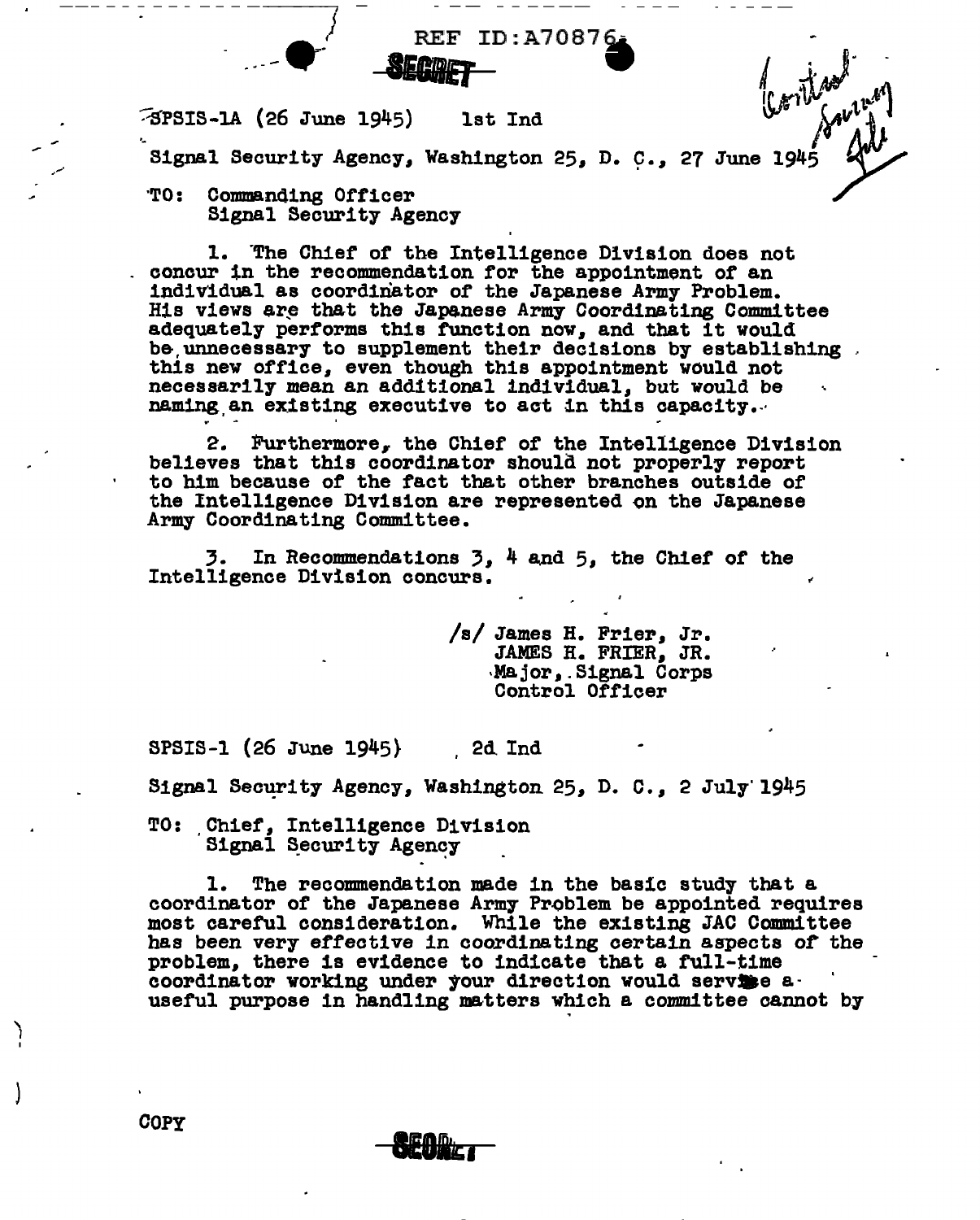REF ID:A7087~ *-ET* • Signal Security Agency, Washington 25, D. C., 27 June 194

'TO: Commanding Officer Signal Security Agency

 $\bullet$ 

--- - - - - - - - - - ---~ *j* - \_.,..\_

1. "The Chief or the Intelligence Division does not concur in the recommendation for the appointment or an individual as coordinator of the Japanese Army Problem. His views are that the Japanese Army Coordinating Committee adequately performs this function now, and that it would be unnecessary to supplement their decisions by establishing this new office, even though this appointment would not necessarily mean an additional individual, but would be naming an existing executive to act in this capacity.

2. furthermore, the Chief *ot* the Intelligence Division believes that this coordinator should not properl7 report to him because of the fact that other branches outside or the Intelligence Division are represented on the Japanese Army Coordinating Committee.

3. In Recommendations  $3$ ,  $4$  and  $5$ , the Chief of the Intelligence Division concurs.

r -" I <sup>~</sup>

/s/ James H. Frier, Jr. JAMES H. FRIER, JR. ·Major,.Signal Corps Control Officer

SPSIS-1 (26 June 1945} . 2d Ind

Signal Security Agency, Washington 25, D. C., 2 July 1945

TO: Chief, Intelligence Division Signal Security Agency

1. The recommendation made in the basic study that a coordinator of the Japanese Army Problem be appointed requires most careful consideration. While the existing JAC Committee has been very effective in coordinating certain aspects of the problem, there is evidence to indicate that a full-time coordinator working under your direction would servise auseful purpose in handling natters which a committee cannot by

COPY

} I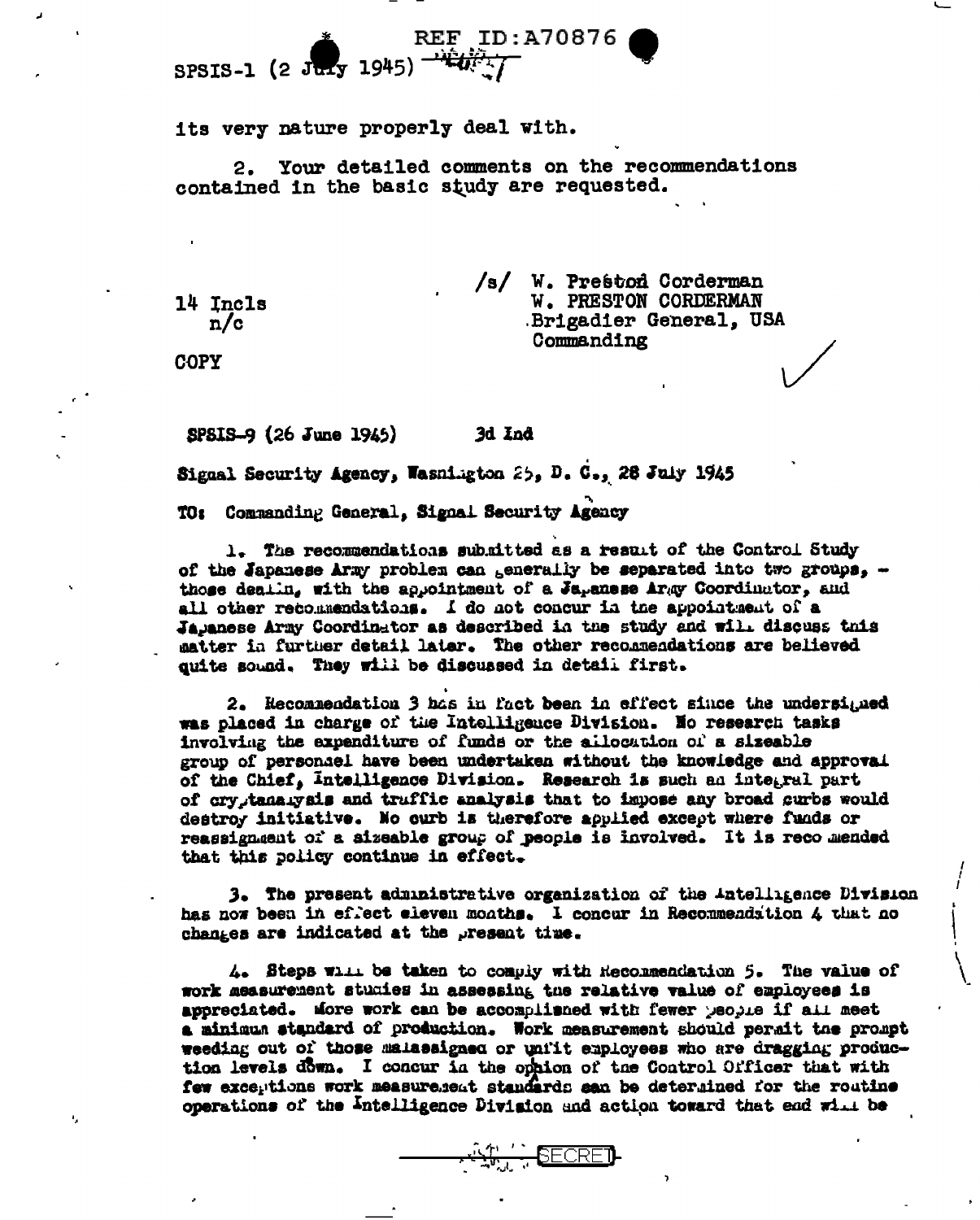its very nature properly deal with.

Your detailed comments on the recommendations 2. contained in the basic study are requested.

| /s/ | W. Preston Corderman        |
|-----|-----------------------------|
|     | <b>W. PRESTON CORDERMAN</b> |
|     | Brigadier General, USA      |
|     | Commanding                  |

14 Incls  $n/c$ 

**COPY** 

ĸ,

SPSIS-9 (26 June 1945) 3d Ind

Signal Security Agency, Wasnington 25, D. C., 26 July 1945

TO: Commanding General, Signal Security Agency

1. The recommendations submitted as a result of the Control Study of the Japanese Army problem can senerally be separated into two groups, those dealin, with the appointment of a Japanese Army Coordinator, and all other recommendations. I do not concur in the appointment of a Japanese Army Coordinator as described in the study and will discuss this matter in further detail later. The other recommendations are believed quite sound. They will be discussed in detail first.

2. Hecommendation 3 has in fact been in effect since the undersigned was placed in charge of the Intolligence Division. No research tasks involving the expenditure of funds or the allocation of a sizeable group of personael have been undertaken without the knowledge and approval of the Chief, Intelligence Division. Research is such an integral part of crystanaryais and truffic analysis that to impose any broad curbs would destroy initiative. No ourb is therefore applied except where funds or reassignment of a sizeable group of people is involved. It is recommended that this policy continue in effect.

3. The present administrative organization of the Antelligence Division has now been in effect eleven months. I concur in Recommendation 4 that no changes are indicated at the present time.

4. Steps will be taken to comply with Heconmendation 5. The value of work measurement studies in assessing the relative value of employees is appreciated. More work can be accomplianed with fewer people if all meet a minimum standard of production. Work measurement should permit the prompt weeding out of those malassigned or unfit employees who are dragging production levels down. I concur in the ophion of the Control Officer that with few exceptions work measurement standards san be determined for the routine operations of the Intelligence Division and action toward that ead will be

**ALLE SECRET**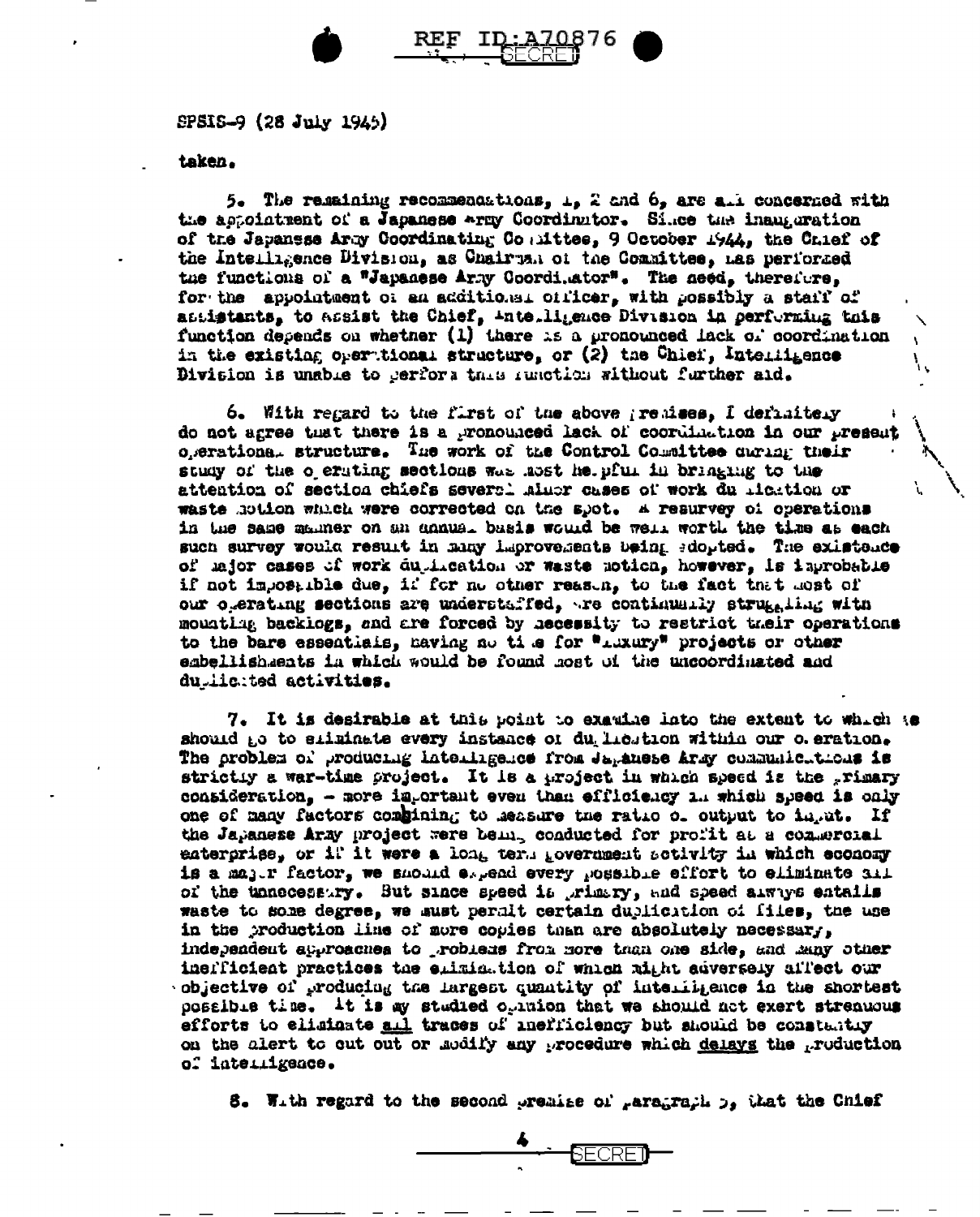

SPSIS-9 (28 July 1945)

taken.

5. The relating recommendations,  $L$ , 2 and  $6$ , are all concerned with the appointment of a Japanese wray Coordinator. Since the inauguration of the Japanese Army Coordinating Counttee, 9 October 1944, the Chief of the Intelligence Division, as Chairman of the Committee, has performed the functions of a "Japanese Army Coordi.ator". The need, therefore, for the appointment of an additional officer, with possibly a staff of antistants, to assist the Chief, intelligence Division in performing this function depends on whether (1) there is a pronounced lack of coordination in the existing oper tional structure, or (2) the Chief, Intelligence Division is unable to gerfors this insotion without further aid.

6. With regard to the first of the above greatees, I definitely do not agree that there is a pronounced lack of coordination in our present ogerationa. structure. The work of the Control Committee during their study of the o erating sections was most he pful in bringing to the attention of section chiefs severel minor cases of work du ricktion or waste hotion which were corrected on the spot. A resurvey of operations in the same manner on an annual basis would be well worth the time as each such survey would result in many laprovements being edopted. The existence of lajor cases of work duplication or waste notion, however, is inprobable if not impossible due, if for no other reason, to the fact that most of our operating sections are understaffed, to continually struggling with mounting backings, and are forced by necessity to restrict their operations to the bare essentials, having no time for "Luxury" projects or other embellishments in which would be found most of the uncoordinated and dumicited activities.

7. It is desirable at this point to examine lato the extent to which to should go to sliminate every instance of du licution within our o. eration. The problem of producing interingence from Japanese Army communicutions is strictly a war-time project. It is a project in which speed is the primary consideration, - more important even than efficiency in which speed is only one of many factors combining to measure the ratio of output to in the If the Japanese Army project were bein, conducted for profit at a commercial enterprise, or if it were a long term government setivity in which economy is a mager factor, we should expend every possible effort to eliminate all of the unnecessary. But since speed it wrimary, and speed always entalls waste to some degree, we sust permit certain dublication of files, the use in the production line of more copies than are absolutely necessary, independent approaches to robless from nore than one side, and many other inerficient practices the elimination of which might adversely affect our objective of producing the largest quantity of intentigates in the shortest possible time. It is my studied opinion that we should not exert streamous efforts to eliminate all traces of inefficiency but should be constantly on the alert to out out or modify any procedure which delays the production of interrigace.

the Chief at the second premise of paragraph of the Chief

 $\overset{\spadesuit}{\longrightarrow}$  Secret